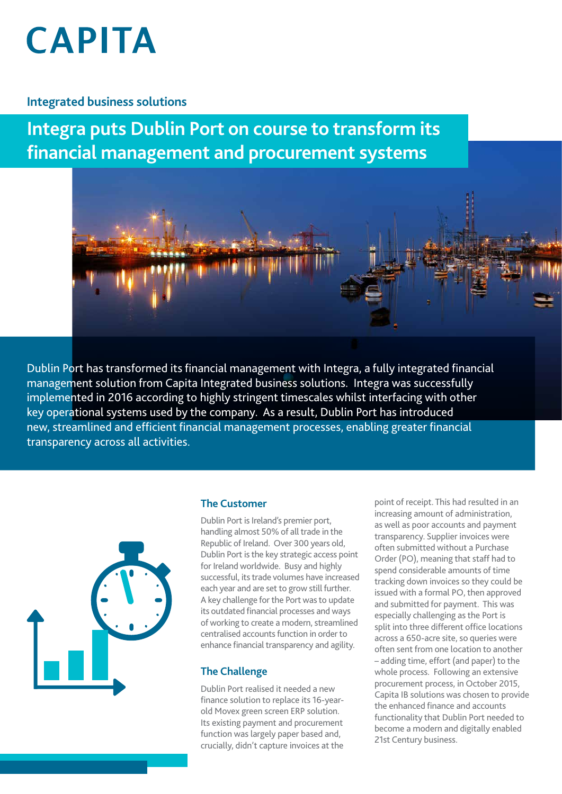# **CAPITA**

# **Integrated business solutions**

**Integra puts Dublin Port on course to transform its financial management and procurement systems**



Dublin Port has transformed its financial management with Integra, a fully integrated financial management solution from Capita Integrated business solutions. Integra was successfully implemented in 2016 according to highly stringent timescales whilst interfacing with other key operational systems used by the company. As a result, Dublin Port has introduced new, streamlined and efficient financial management processes, enabling greater financial transparency across all activities.



### **The Customer**

Dublin Port is Ireland's premier port, handling almost 50% of all trade in the Republic of Ireland. Over 300 years old, Dublin Port is the key strategic access point for Ireland worldwide. Busy and highly successful, its trade volumes have increased each year and are set to grow still further. A key challenge for the Port was to update its outdated financial processes and ways of working to create a modern, streamlined centralised accounts function in order to enhance financial transparency and agility.

### **The Challenge**

Dublin Port realised it needed a new finance solution to replace its 16-yearold Movex green screen ERP solution. Its existing payment and procurement function was largely paper based and, crucially, didn't capture invoices at the point of receipt. This had resulted in an increasing amount of administration, as well as poor accounts and payment transparency. Supplier invoices were often submitted without a Purchase Order (PO), meaning that staff had to spend considerable amounts of time tracking down invoices so they could be issued with a formal PO, then approved and submitted for payment. This was especially challenging as the Port is split into three different office locations across a 650-acre site, so queries were often sent from one location to another – adding time, effort (and paper) to the whole process. Following an extensive procurement process, in October 2015, Capita IB solutions was chosen to provide the enhanced finance and accounts functionality that Dublin Port needed to become a modern and digitally enabled 21st Century business.